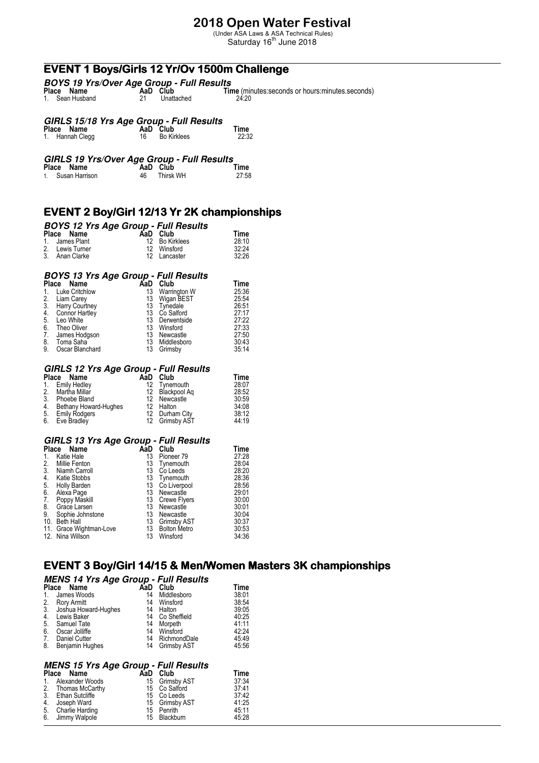## **2018 Open Water Festival**

(Under ASA Laws & ASA Technical Rules)<br>Saturday 16<sup>th</sup> June 2018

# **EVENT 1 Boys/Girls 12 Yr/Ov 1500m Challenge**

| <b>BOYS 19 Yrs/Over Age Group - Full Results</b> |  |            |                                                    |  |  |  |
|--------------------------------------------------|--|------------|----------------------------------------------------|--|--|--|
| Place Name                                       |  | AaD Club   | Time (minutes: seconds or hours: minutes. seconds) |  |  |  |
| 1. Sean Husband                                  |  | Unattached | 24:20                                              |  |  |  |

# **GIRLS 15/18 Yrs Age Group - Full Results Place Name AaD Club Time**

| Place Name      | AaD Club    | Time  |
|-----------------|-------------|-------|
| 1. Hannah Clegg | Bo Kirklees | 22:32 |

|            | GIRLS 19 Yrs/Over Age Group - Full Results |      |
|------------|--------------------------------------------|------|
| Place Name | AaD Club                                   | Time |

| ייוואיו שטאו ו | . | .         | .     |
|----------------|---|-----------|-------|
| Susan Harrison |   | Thirsk WH | 27:58 |

### **EVENT 2 Boy/Girl 12/13 Yr 2K championships**

# **BOYS 12 Yrs Age Group - Full Results Place Name AaD Club Time**

| Place Name      | AaD Club       | l ime |
|-----------------|----------------|-------|
| 1. James Plant  | 12 Bo Kirklees | 28:10 |
| 2. Lewis Turner | 12 Winsford    | 32.24 |
| 3. Anan Clarke  | 12 Lancaster   | 32:26 |

|                 | AaD                                                                                                                                                                            | Club         | Time                                        |
|-----------------|--------------------------------------------------------------------------------------------------------------------------------------------------------------------------------|--------------|---------------------------------------------|
|                 | 13                                                                                                                                                                             | Warrington W | 25:36                                       |
|                 | 13                                                                                                                                                                             | Wigan BEST   | 25:54                                       |
|                 | 13                                                                                                                                                                             | Tynedale     | 26:51                                       |
|                 | 13                                                                                                                                                                             | Co Salford   | 27:17                                       |
|                 | 13                                                                                                                                                                             | Derwentside  | 27:22                                       |
|                 | 13                                                                                                                                                                             | Winsford     | 27:33                                       |
|                 | 13                                                                                                                                                                             | Newcastle    | 27:50                                       |
|                 | 13                                                                                                                                                                             | Middlesboro  | 30:43                                       |
| Oscar Blanchard | 13                                                                                                                                                                             | Grimsby      | 35:14                                       |
|                 | Place Name<br><b>Luke Critchlow</b><br>2. Liam Carey<br>3. Harry Court<br>Harry Courtney<br><b>Connor Hartley</b><br>Leo White<br>Theo Oliver<br>James Hodgson<br>8. Toma Saha |              | <b>BOYS 13 Yrs Age Group - Full Results</b> |

# **GIRLS 12 Yrs Age Group - Full Results Place Name AaD Club Time**

| Place Name            | Club | Time                                                                                                    |
|-----------------------|------|---------------------------------------------------------------------------------------------------------|
| 1. Emily Hedley       |      | 28:07                                                                                                   |
| 2. Martha Millar      |      | 28:52                                                                                                   |
| Phoebe Bland          |      | 30:59                                                                                                   |
| Bethany Howard-Hughes |      | 34:08                                                                                                   |
| 5. Emily Rodgers      |      | 38:12                                                                                                   |
| 6. Eve Bradley        |      | 44:19                                                                                                   |
|                       |      | AaD<br>12 Tynemouth<br>12 Blackpool Ag<br>12 Newcastle<br>12 Halton<br>12 Durham City<br>12 Grimsby AST |

# **GIRLS 13 Yrs Age Group - Full Results Place Name AaD Club Time**

| Name         | AaD                                                                                                                                                          | Club                | Time                                             |
|--------------|--------------------------------------------------------------------------------------------------------------------------------------------------------------|---------------------|--------------------------------------------------|
| Katie Hale   | 13                                                                                                                                                           | Pioneer 79          | 27:28                                            |
|              | 13                                                                                                                                                           | Tynemouth           | 28:04                                            |
|              | 13                                                                                                                                                           | Co Leeds            | 28:20                                            |
|              | 13                                                                                                                                                           |                     | 28:36                                            |
| Holly Barden | 13                                                                                                                                                           |                     | 28:56                                            |
| Alexa Page   | 13                                                                                                                                                           | Newcastle           | 29:01                                            |
|              | 13                                                                                                                                                           |                     | 30:00                                            |
| Grace Larsen | 13                                                                                                                                                           | Newcastle           | 30:01                                            |
|              | 13                                                                                                                                                           | Newcastle           | 30:04                                            |
|              | 13                                                                                                                                                           | Grimsby AST         | 30:37                                            |
|              | 13                                                                                                                                                           | <b>Bolton Metro</b> | 30:53                                            |
|              | 13                                                                                                                                                           | Winsford            | 34:36                                            |
|              | Place<br>Millie Fenton<br>Niamh Carroll<br>Katie Stobbs<br>Poppy Maskill<br>Sophie Johnstone<br>10. Beth Hall<br>11. Grace Wightman-Love<br>12. Nina Willson |                     | Tynemouth<br>Co Liverpool<br><b>Crewe Flyers</b> |

### **EVENT 3 Boy/Girl 14/15 & Men/Women Masters 3K championships**

|         | <b>MENS 14 Yrs Age Group - Full Results</b><br>Place<br>Name | AaD | Club           | Time  |
|---------|--------------------------------------------------------------|-----|----------------|-------|
| $1_{-}$ | James Woods                                                  | 14  | Middlesboro    | 38:01 |
| 2.      | Rory Armitt                                                  | 14  | Winsford       | 38:54 |
| 3.      | Joshua Howard-Hughes                                         | 14  | Halton         | 39:05 |
| 4.      | Lewis Baker                                                  | 14  | Co Sheffield   | 40:25 |
| 5.      | Samuel Tate                                                  | 14  | Morpeth        | 41:11 |
| 6.      | Oscar Jolliffe                                               | 14  | Winsford       | 42:24 |
| 7.      | <b>Daniel Cutter</b>                                         | 14  | RichmondDale   | 45:49 |
| 8.      | Benjamin Hughes                                              |     | 14 Grimsby AST | 45:56 |

| <b>MENS 15 Yrs Age Group - Full Results</b> |  |                |       |  |  |
|---------------------------------------------|--|----------------|-------|--|--|
| Place Name                                  |  | AaD Club       | Time  |  |  |
| 1. Alexander Woods                          |  | 15 Grimsby AST | 37:34 |  |  |
| 2. Thomas McCarthy                          |  | 15 Co Salford  | 37:41 |  |  |
| 3 Ethan Sutcliffe                           |  | 15 Coleeds     | 37.42 |  |  |

| 2. 111011100 11100011 (11) | <b>IV VY VAIIVIN</b> |       |
|----------------------------|----------------------|-------|
| 3. Ethan Sutcliffe         | 15 Co Leeds          | 37:42 |
| 4. Joseph Ward             | 15 Grimsby AST       | 41:25 |
| 5. Charlie Harding         | 15 Penrith           | 45:11 |
| 6. Jimmy Walpole           | 15 Blackburn         | 45:28 |
|                            |                      |       |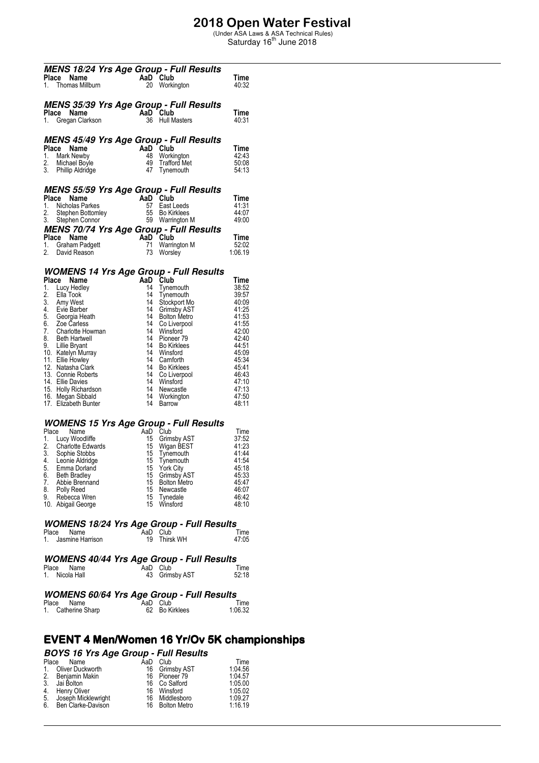# **2018 Open Water Festival**<br>
(Under ASA Laws & ASA Technical Rules)<br>
Saturday 16<sup>th</sup> June 2018

|          | MENS 18/24 Yrs Age Group - Full Results                                                                                                                                                                                                                       |                                                 |                                 |                                                    |  |
|----------|---------------------------------------------------------------------------------------------------------------------------------------------------------------------------------------------------------------------------------------------------------------|-------------------------------------------------|---------------------------------|----------------------------------------------------|--|
|          | Place Name                                                                                                                                                                                                                                                    | AaD Club<br>20 Worki                            |                                 | Time                                               |  |
|          | 1. Thomas Millburn                                                                                                                                                                                                                                            |                                                 | 20 Workington                   | 40:32                                              |  |
|          |                                                                                                                                                                                                                                                               |                                                 |                                 |                                                    |  |
|          |                                                                                                                                                                                                                                                               |                                                 |                                 |                                                    |  |
|          | <b>MENS 35/39 Yrs Age Group - Full Results</b>                                                                                                                                                                                                                |                                                 |                                 |                                                    |  |
|          |                                                                                                                                                                                                                                                               |                                                 |                                 | Time                                               |  |
|          | <b>Place Name</b><br>1. Gregan Clarkson <b>AaD</b> Club<br>36 Hull M                                                                                                                                                                                          |                                                 | 36 Hull Masters                 | 40:31                                              |  |
|          |                                                                                                                                                                                                                                                               |                                                 |                                 |                                                    |  |
|          | <b>MENS 45/49 Yrs Age Group - Full Results</b>                                                                                                                                                                                                                |                                                 |                                 |                                                    |  |
|          | Place Name                                                                                                                                                                                                                                                    | AaD<br>AaD<br>48 Worki<br>49 Traffo<br>47 Tynen |                                 | Time                                               |  |
|          | 1. Mark Newby                                                                                                                                                                                                                                                 |                                                 | 48 Workington                   | 42:43                                              |  |
|          |                                                                                                                                                                                                                                                               |                                                 |                                 | 50:08                                              |  |
|          | 2. Michael Boyle<br>3. Phillip Aldridge                                                                                                                                                                                                                       |                                                 | 49 Trafford Met<br>47 Tynemouth | 54:13                                              |  |
|          |                                                                                                                                                                                                                                                               |                                                 |                                 |                                                    |  |
|          |                                                                                                                                                                                                                                                               |                                                 |                                 |                                                    |  |
|          | <b>MENS 55/59 Yrs Age Group - Full Results</b>                                                                                                                                                                                                                |                                                 |                                 |                                                    |  |
|          | Place Name                                                                                                                                                                                                                                                    |                                                 |                                 | Time                                               |  |
| 1.<br>2. |                                                                                                                                                                                                                                                               |                                                 |                                 | 41:31<br>44:07                                     |  |
| 3.       | <b>CREAD Club</b><br>Nicholas Parkes<br>Stephen Bottomley<br>Stephen Connor<br>Stephen Connor<br>Stephen Connor<br>Stephen Connor<br>Stephen Connor<br>Stephen Connor<br>Stephen Connor<br>Stephen Connor<br>Stephen Connor<br>Stephen Connor<br>Stephen Conn |                                                 |                                 | 49:00                                              |  |
|          |                                                                                                                                                                                                                                                               |                                                 |                                 |                                                    |  |
|          | <b>MENS 70/74 Yrs Age Group - Full Results<br/> Place Name AaD Club<br/> 1. Graham Padgett 1 Warrington M 52:02<br/> 2. David Reason 73 Worsley 1:06.19</b>                                                                                                   |                                                 |                                 |                                                    |  |
|          |                                                                                                                                                                                                                                                               |                                                 |                                 |                                                    |  |
|          |                                                                                                                                                                                                                                                               |                                                 | 71 Warrington M<br>73 Worsley   |                                                    |  |
|          |                                                                                                                                                                                                                                                               |                                                 |                                 |                                                    |  |
|          |                                                                                                                                                                                                                                                               |                                                 |                                 |                                                    |  |
|          | <b>WOMENS 14 Yrs Age Group - Full Results</b>                                                                                                                                                                                                                 |                                                 |                                 |                                                    |  |
|          |                                                                                                                                                                                                                                                               |                                                 |                                 | Time                                               |  |
|          |                                                                                                                                                                                                                                                               |                                                 |                                 | 38:52                                              |  |
|          |                                                                                                                                                                                                                                                               |                                                 |                                 | 39:57<br>40:09                                     |  |
|          |                                                                                                                                                                                                                                                               |                                                 |                                 |                                                    |  |
|          |                                                                                                                                                                                                                                                               |                                                 |                                 | 41:25                                              |  |
|          |                                                                                                                                                                                                                                                               |                                                 |                                 |                                                    |  |
|          |                                                                                                                                                                                                                                                               |                                                 |                                 | 41:53<br>41:55<br>42:00                            |  |
|          |                                                                                                                                                                                                                                                               |                                                 |                                 |                                                    |  |
|          |                                                                                                                                                                                                                                                               |                                                 |                                 | 42:40<br>44:51                                     |  |
|          |                                                                                                                                                                                                                                                               |                                                 |                                 | 45:09                                              |  |
|          |                                                                                                                                                                                                                                                               |                                                 |                                 | 45:34<br>45:41                                     |  |
|          |                                                                                                                                                                                                                                                               |                                                 |                                 |                                                    |  |
|          |                                                                                                                                                                                                                                                               |                                                 |                                 | 46.43                                              |  |
|          |                                                                                                                                                                                                                                                               |                                                 |                                 | 47:10                                              |  |
|          |                                                                                                                                                                                                                                                               |                                                 |                                 | 47:13                                              |  |
|          |                                                                                                                                                                                                                                                               |                                                 |                                 | 47:50                                              |  |
|          | <b>WOMENS 14 Yrs Age Group - Full Results</b><br>Place Name<br>1. Lucy Hedley<br>1. Lucy Hedley<br>14 Tynemouth<br>3. Amy West<br>14 Stockport Mo<br>4. Evie Barber<br>6. Zoe Carless<br>6. Ceorgia Heath<br>14 Go Liverpool<br>7. Charlotte Howman<br>7. C   |                                                 |                                 | 48:11                                              |  |
|          |                                                                                                                                                                                                                                                               |                                                 |                                 |                                                    |  |
|          | <b>WOMENS 15 Yrs Age Group - Full Results</b>                                                                                                                                                                                                                 |                                                 |                                 |                                                    |  |
| Place    | Comparison of the Club<br>Club<br>Club<br>Charlotte Edwards<br>Charlotte Edwards<br>Sophie Stobbs<br>Leonie Aldridge<br>Leman Dorland<br>Leonie The Tynemouth<br>Leonie Aldridge<br>Emma Dorland<br>Beth Rrad <sup>11</sup>                                   |                                                 |                                 | Time                                               |  |
| 1.       | Lucy Woodliffe                                                                                                                                                                                                                                                |                                                 | 15 Grimsby AST                  | 37:52                                              |  |
| 2.       |                                                                                                                                                                                                                                                               |                                                 |                                 | 41:23                                              |  |
| 3.       |                                                                                                                                                                                                                                                               |                                                 |                                 | 41.44                                              |  |
|          | 4. Leonie Aldridge                                                                                                                                                                                                                                            |                                                 |                                 | 41:54                                              |  |
| 5.       | Emma Dorland                                                                                                                                                                                                                                                  |                                                 |                                 | 45:18                                              |  |
| 6.       | <b>Beth Bradley</b>                                                                                                                                                                                                                                           |                                                 | 15 Grimsby AST                  | 45:33                                              |  |
| 7.       | Abbie Brennand<br>8. Polly Reed                                                                                                                                                                                                                               |                                                 | 15 Bolton Metro<br>15 Newcastle | 45:47<br>46:07                                     |  |
| 9.       | Rebecca Wren                                                                                                                                                                                                                                                  |                                                 | 15 Tynedale                     | 46:42                                              |  |
|          | 10. Abigail George                                                                                                                                                                                                                                            |                                                 | 15 Winsford                     | 48:10                                              |  |
|          |                                                                                                                                                                                                                                                               |                                                 |                                 |                                                    |  |
|          |                                                                                                                                                                                                                                                               |                                                 |                                 |                                                    |  |
|          | <b>WOMENS 18/24 Yrs Age Group - Full Results</b>                                                                                                                                                                                                              |                                                 |                                 |                                                    |  |
| Place    | Name                                                                                                                                                                                                                                                          | AaD Club                                        |                                 | Time                                               |  |
|          | 1. Jasmine Harrison                                                                                                                                                                                                                                           | 19                                              | <b>Thirsk WH</b>                | 47:05                                              |  |
|          |                                                                                                                                                                                                                                                               |                                                 |                                 |                                                    |  |
|          | <b>WOMENS 40/44 Yrs Age Group - Full Results</b>                                                                                                                                                                                                              |                                                 |                                 |                                                    |  |
| Place    | Name                                                                                                                                                                                                                                                          | AaD Club                                        |                                 | Time                                               |  |
| 1.       | Nicola Hall                                                                                                                                                                                                                                                   |                                                 | 43 Grimsby AST                  | 52:18                                              |  |
|          |                                                                                                                                                                                                                                                               |                                                 |                                 |                                                    |  |
|          |                                                                                                                                                                                                                                                               |                                                 |                                 |                                                    |  |
|          | <b>WOMENS 60/64 Yrs Age Group - Full Results</b>                                                                                                                                                                                                              |                                                 |                                 |                                                    |  |
|          | Place<br>Name                                                                                                                                                                                                                                                 | AaD Club                                        |                                 | Time                                               |  |
| 1.       | Catherine Sharp                                                                                                                                                                                                                                               | 62                                              | Bo Kirklees                     | 1:06.32                                            |  |
|          |                                                                                                                                                                                                                                                               |                                                 |                                 |                                                    |  |
|          |                                                                                                                                                                                                                                                               |                                                 |                                 |                                                    |  |
|          |                                                                                                                                                                                                                                                               |                                                 |                                 |                                                    |  |
|          |                                                                                                                                                                                                                                                               |                                                 |                                 | <b>EVENT 4 Men/Women 16 Yr/Ov 5K championships</b> |  |
|          | <b>BOYS 16 Yrs Age Group - Full Results</b>                                                                                                                                                                                                                   |                                                 |                                 |                                                    |  |
|          |                                                                                                                                                                                                                                                               |                                                 |                                 |                                                    |  |

| Place | Name<br>1. Oliver Duckworth | AaD | Club<br>16 Grimsby AST | Time<br>1:04.56 |
|-------|-----------------------------|-----|------------------------|-----------------|
|       | 2. Benjamin Makin           |     | 16 Pioneer 79          | 1:04.57         |
| 3.    | Jai Bolton                  |     | 16 Co Salford          | 1:05.00         |
| 4.    | Henry Oliver                |     | 16 Winsford            | 1:05.02         |
| 5.    | Joseph Micklewright         |     | 16 Middlesboro         | 1:09.27         |
|       | 6. Ben Clarke-Davison       |     | 16 Bolton Metro        | 1:16.19         |